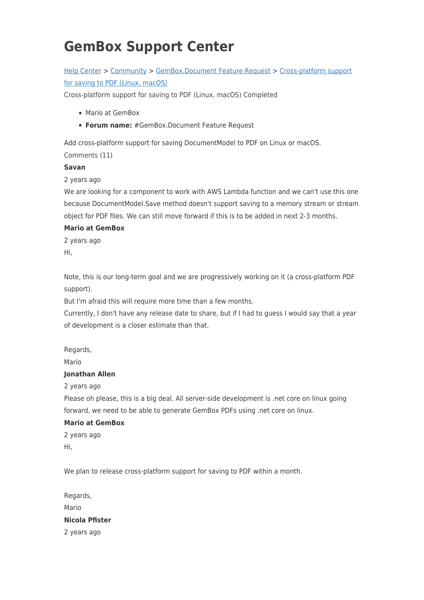# **GemBox Support Center**

## [Help Center](https://support.gemboxsoftware.com/) > [Community](https://support.gemboxsoftware.com/community) > [GemBox.Document Feature Request](https://support.gemboxsoftware.com/community/browse/type-2/view-list/viewmode-compact) > [Cross-platform support](https://support.gemboxsoftware.com/community/view/cross-platform-support-for-saving-to-pdf-linux-macos-2) [for saving to PDF \(Linux, macOS\)](https://support.gemboxsoftware.com/community/view/cross-platform-support-for-saving-to-pdf-linux-macos-2)

Cross-platform support for saving to PDF (Linux, macOS) Completed

- Mario at GemBox
- **Forum name:** #GemBox.Document Feature Request

Add cross-platform support for saving DocumentModel to PDF on Linux or macOS.

Comments (11)

#### **Savan**

2 years ago

We are looking for a component to work with AWS Lambda function and we can't use this one because DocumentModel.Save method doesn't support saving to a memory stream or stream object for PDF files. We can still move forward if this is to be added in next 2-3 months.

#### **Mario at GemBox**

2 years ago Hi,

Note, this is our long-term goal and we are progressively working on it (a cross-platform PDF support).

But I'm afraid this will require more time than a few months.

Currently, I don't have any release date to share, but if I had to guess I would say that a year of development is a closer estimate than that.

Regards,

Mario

### **Jonathan Allen**

2 years ago

Please oh please, this is a big deal. All server-side development is .net core on linux going forward, we need to be able to generate GemBox PDFs using .net core on linux.

### **Mario at GemBox**

2 years ago Hi,

We plan to release cross-platform support for saving to PDF within a month.

Regards, Mario **Nicola Pfister** 2 years ago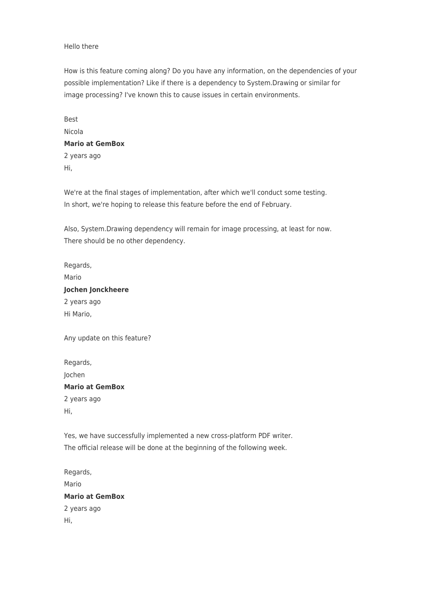#### Hello there

How is this feature coming along? Do you have any information, on the dependencies of your possible implementation? Like if there is a dependency to System.Drawing or similar for image processing? I've known this to cause issues in certain environments.

Best Nicola **Mario at GemBox** 2 years ago Hi,

We're at the final stages of implementation, after which we'll conduct some testing. In short, we're hoping to release this feature before the end of February.

Also, System.Drawing dependency will remain for image processing, at least for now. There should be no other dependency.

Regards, Mario **Jochen Jonckheere** 2 years ago Hi Mario,

Any update on this feature?

Regards, Jochen **Mario at GemBox** 2 years ago Hi,

Yes, we have successfully implemented a new cross-platform PDF writer. The official release will be done at the beginning of the following week.

Regards, Mario **Mario at GemBox** 2 years ago Hi,